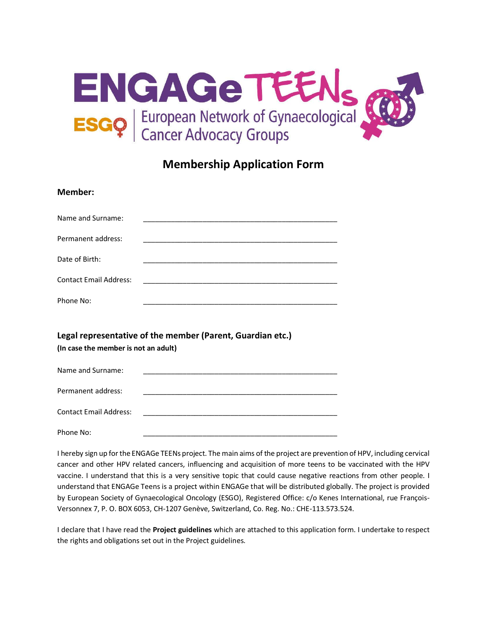

## **Membership Application Form**

| Member:                                                                                            |                                                                                                                       |
|----------------------------------------------------------------------------------------------------|-----------------------------------------------------------------------------------------------------------------------|
| Name and Surname:                                                                                  |                                                                                                                       |
| Permanent address:                                                                                 |                                                                                                                       |
| Date of Birth:                                                                                     |                                                                                                                       |
| <b>Contact Email Address:</b>                                                                      |                                                                                                                       |
| Phone No:                                                                                          | <u> 1980 - Johann Barn, mars ann an t-Amhair an t-Amhair an t-Amhair an t-Amhair an t-Amhair an t-Amhair an t-Amh</u> |
| Legal representative of the member (Parent, Guardian etc.)<br>(In case the member is not an adult) |                                                                                                                       |
| Name and Surname:                                                                                  |                                                                                                                       |
| Permanent address:                                                                                 | <u> 1989 - Johann Harry Harry Harry Harry Harry Harry Harry Harry Harry Harry Harry Harry Harry Harry Harry Harry</u> |
| <b>Contact Email Address:</b>                                                                      | <u> 1989 - Johann Stein, mars an deutscher Stein und der Stein und der Stein und der Stein und der Stein und der</u>  |
| Phone No:                                                                                          |                                                                                                                       |

I hereby sign up for the ENGAGe TEENs project. The main aims of the project are prevention of HPV, including cervical cancer and other HPV related cancers, influencing and acquisition of more teens to be vaccinated with the HPV vaccine. I understand that this is a very sensitive topic that could cause negative reactions from other people. I understand that ENGAGe Teens is a project within ENGAGe that will be distributed globally. The project is provided by European Society of Gynaecological Oncology (ESGO), Registered Office: c/o Kenes International, rue François-Versonnex 7, P. O. BOX 6053, CH-1207 Genève, Switzerland, Co. Reg. No.: CHE-113.573.524.

I declare that I have read the **Project guidelines** which are attached to this application form. I undertake to respect the rights and obligations set out in the Project guidelines.